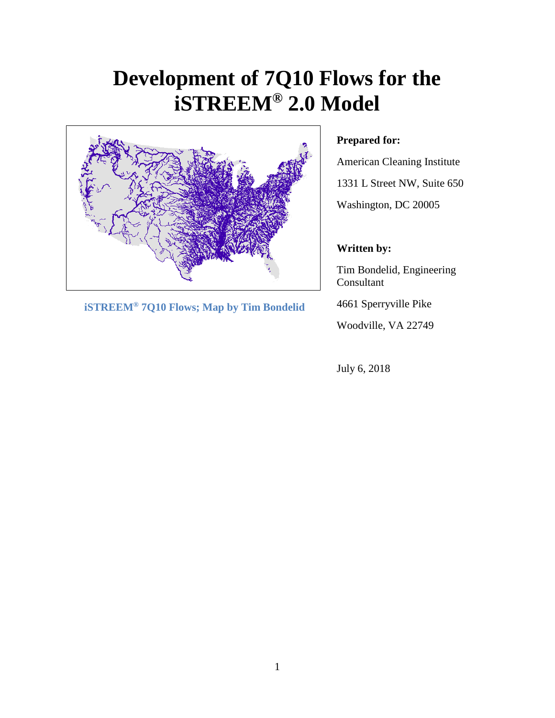# **Development of 7Q10 Flows for the iSTREEM® 2.0 Model**



 **iSTREEM® 7Q10 Flows; Map by Tim Bondelid**

# **Prepared for:**

American Cleaning Institute 1331 L Street NW, Suite 650

Washington, DC 20005

# **Written by:**

Tim Bondelid, Engineering Consultant

4661 Sperryville Pike

Woodville, VA 22749

July 6, 2018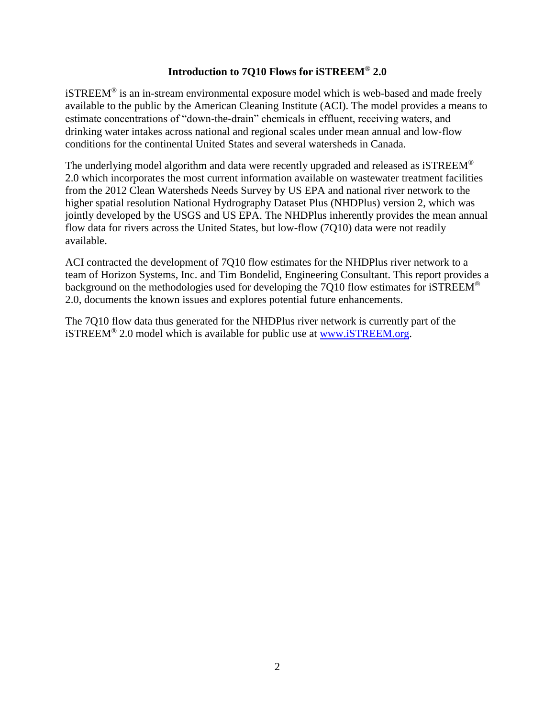## **Introduction to 7Q10 Flows for iSTREEM**® **2.0**

iSTREEM® is an in-stream environmental exposure model which is web-based and made freely available to the public by the American Cleaning Institute (ACI). The model provides a means to estimate concentrations of "down‐the‐drain" chemicals in effluent, receiving waters, and drinking water intakes across national and regional scales under mean annual and low‐flow conditions for the continental United States and several watersheds in Canada.

The underlying model algorithm and data were recently upgraded and released as  $i$ STREEM<sup>®</sup> 2.0 which incorporates the most current information available on wastewater treatment facilities from the 2012 Clean Watersheds Needs Survey by US EPA and national river network to the higher spatial resolution National Hydrography Dataset Plus (NHDPlus) version 2, which was jointly developed by the USGS and US EPA. The NHDPlus inherently provides the mean annual flow data for rivers across the United States, but low-flow (7Q10) data were not readily available.

ACI contracted the development of 7Q10 flow estimates for the NHDPlus river network to a team of Horizon Systems, Inc. and Tim Bondelid, Engineering Consultant. This report provides a background on the methodologies used for developing the 7Q10 flow estimates for iSTREEM® 2.0, documents the known issues and explores potential future enhancements.

The 7Q10 flow data thus generated for the NHDPlus river network is currently part of the iSTREEM® 2.0 model which is available for public use at [www.iSTREEM.org.](http://www.istreem.org/)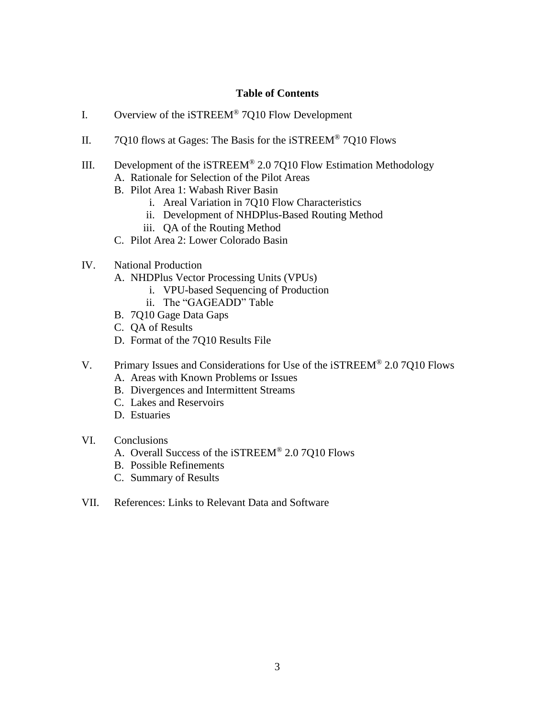#### **Table of Contents**

- I. Overview of the iSTREEM® 7Q10 Flow Development
- II. 7Q10 flows at Gages: The Basis for the iSTREEM® 7Q10 Flows
- III. Development of the iSTREEM® 2.0 7Q10 Flow Estimation Methodology A. Rationale for Selection of the Pilot Areas
	- B. Pilot Area 1: Wabash River Basin
		- i. Areal Variation in 7Q10 Flow Characteristics
		- ii. Development of NHDPlus-Based Routing Method
		- iii. QA of the Routing Method
	- C. Pilot Area 2: Lower Colorado Basin
- IV. National Production
	- A. NHDPlus Vector Processing Units (VPUs)
		- i. VPU-based Sequencing of Production
		- ii. The "GAGEADD" Table
	- B. 7Q10 Gage Data Gaps
	- C. QA of Results
	- D. Format of the 7Q10 Results File
- V. Primary Issues and Considerations for Use of the iSTREEM<sup>®</sup> 2.0 7010 Flows
	- A. Areas with Known Problems or Issues
	- B. Divergences and Intermittent Streams
	- C. Lakes and Reservoirs
	- D. Estuaries
- VI. Conclusions
	- A. Overall Success of the iSTREEM® 2.0 7Q10 Flows
	- B. Possible Refinements
	- C. Summary of Results
- VII. References: Links to Relevant Data and Software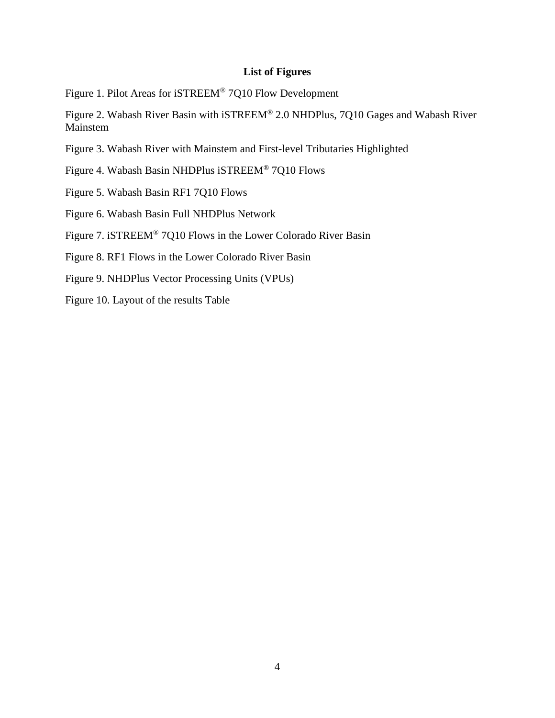## **List of Figures**

Figure 1. Pilot Areas for iSTREEM® 7Q10 Flow Development

Figure 2. Wabash River Basin with iSTREEM® 2.0 NHDPlus, 7Q10 Gages and Wabash River Mainstem

Figure 3. Wabash River with Mainstem and First-level Tributaries Highlighted

Figure 4. Wabash Basin NHDPlus iSTREEM® 7Q10 Flows

Figure 5. Wabash Basin RF1 7Q10 Flows

Figure 6. Wabash Basin Full NHDPlus Network

Figure 7. iSTREEM® 7Q10 Flows in the Lower Colorado River Basin

Figure 8. RF1 Flows in the Lower Colorado River Basin

Figure 9. NHDPlus Vector Processing Units (VPUs)

Figure 10. Layout of the results Table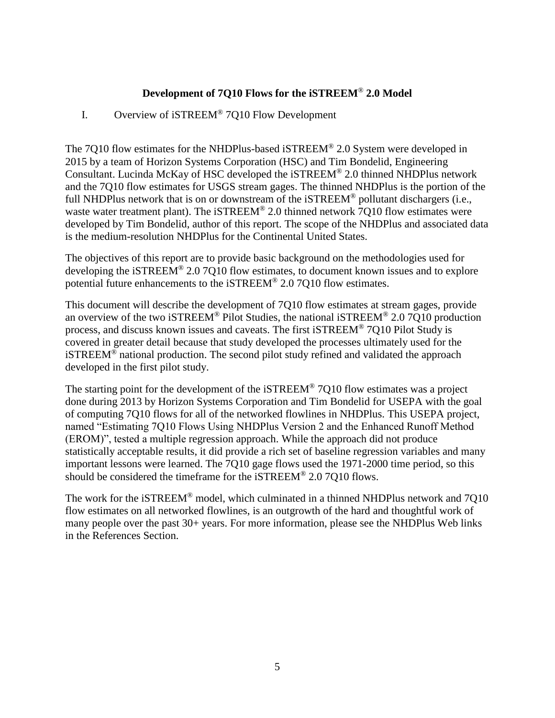# **Development of 7Q10 Flows for the iSTREEM**® **2.0 Model**

# I. Overview of iSTREEM® 7Q10 Flow Development

The 7Q10 flow estimates for the NHDPlus-based iSTREEM® 2.0 System were developed in 2015 by a team of Horizon Systems Corporation (HSC) and Tim Bondelid, Engineering Consultant. Lucinda McKay of HSC developed the iSTREEM® 2.0 thinned NHDPlus network and the 7Q10 flow estimates for USGS stream gages. The thinned NHDPlus is the portion of the full NHDPlus network that is on or downstream of the iSTREEM<sup>®</sup> pollutant dischargers (i.e., waste water treatment plant). The iSTREEM® 2.0 thinned network 7Q10 flow estimates were developed by Tim Bondelid, author of this report. The scope of the NHDPlus and associated data is the medium-resolution NHDPlus for the Continental United States.

The objectives of this report are to provide basic background on the methodologies used for developing the iSTREEM® 2.0 7Q10 flow estimates, to document known issues and to explore potential future enhancements to the iSTREEM® 2.0 7Q10 flow estimates.

This document will describe the development of 7Q10 flow estimates at stream gages, provide an overview of the two iSTREEM® Pilot Studies, the national iSTREEM® 2.0 7Q10 production process, and discuss known issues and caveats. The first iSTREEM® 7Q10 Pilot Study is covered in greater detail because that study developed the processes ultimately used for the iSTREEM® national production. The second pilot study refined and validated the approach developed in the first pilot study.

The starting point for the development of the iSTREEM® 7Q10 flow estimates was a project done during 2013 by Horizon Systems Corporation and Tim Bondelid for USEPA with the goal of computing 7Q10 flows for all of the networked flowlines in NHDPlus. This USEPA project, named "Estimating 7Q10 Flows Using NHDPlus Version 2 and the Enhanced Runoff Method (EROM)", tested a multiple regression approach. While the approach did not produce statistically acceptable results, it did provide a rich set of baseline regression variables and many important lessons were learned. The 7Q10 gage flows used the 1971-2000 time period, so this should be considered the timeframe for the iSTREEM® 2.0 7Q10 flows.

The work for the iSTREEM® model, which culminated in a thinned NHDPlus network and 7Q10 flow estimates on all networked flowlines, is an outgrowth of the hard and thoughtful work of many people over the past 30+ years. For more information, please see the NHDPlus Web links in the References Section.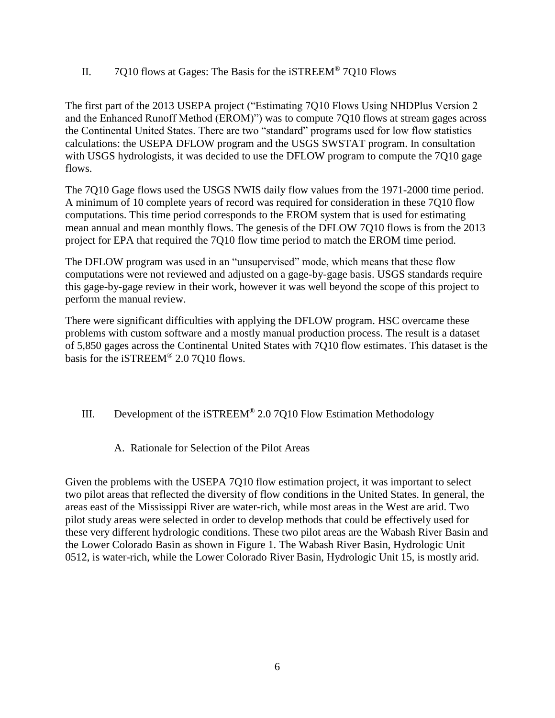II. 7Q10 flows at Gages: The Basis for the iSTREEM® 7Q10 Flows

The first part of the 2013 USEPA project ("Estimating 7Q10 Flows Using NHDPlus Version 2 and the Enhanced Runoff Method (EROM)") was to compute 7Q10 flows at stream gages across the Continental United States. There are two "standard" programs used for low flow statistics calculations: the USEPA DFLOW program and the USGS SWSTAT program. In consultation with USGS hydrologists, it was decided to use the DFLOW program to compute the 7Q10 gage flows.

The 7Q10 Gage flows used the USGS NWIS daily flow values from the 1971-2000 time period. A minimum of 10 complete years of record was required for consideration in these 7Q10 flow computations. This time period corresponds to the EROM system that is used for estimating mean annual and mean monthly flows. The genesis of the DFLOW 7Q10 flows is from the 2013 project for EPA that required the 7Q10 flow time period to match the EROM time period.

The DFLOW program was used in an "unsupervised" mode, which means that these flow computations were not reviewed and adjusted on a gage-by-gage basis. USGS standards require this gage-by-gage review in their work, however it was well beyond the scope of this project to perform the manual review.

There were significant difficulties with applying the DFLOW program. HSC overcame these problems with custom software and a mostly manual production process. The result is a dataset of 5,850 gages across the Continental United States with 7Q10 flow estimates. This dataset is the basis for the iSTREEM® 2.0 7Q10 flows.

## III. Development of the iSTREEM® 2.0 7Q10 Flow Estimation Methodology

A. Rationale for Selection of the Pilot Areas

Given the problems with the USEPA 7Q10 flow estimation project, it was important to select two pilot areas that reflected the diversity of flow conditions in the United States. In general, the areas east of the Mississippi River are water-rich, while most areas in the West are arid. Two pilot study areas were selected in order to develop methods that could be effectively used for these very different hydrologic conditions. These two pilot areas are the Wabash River Basin and the Lower Colorado Basin as shown in Figure 1. The Wabash River Basin, Hydrologic Unit 0512, is water-rich, while the Lower Colorado River Basin, Hydrologic Unit 15, is mostly arid.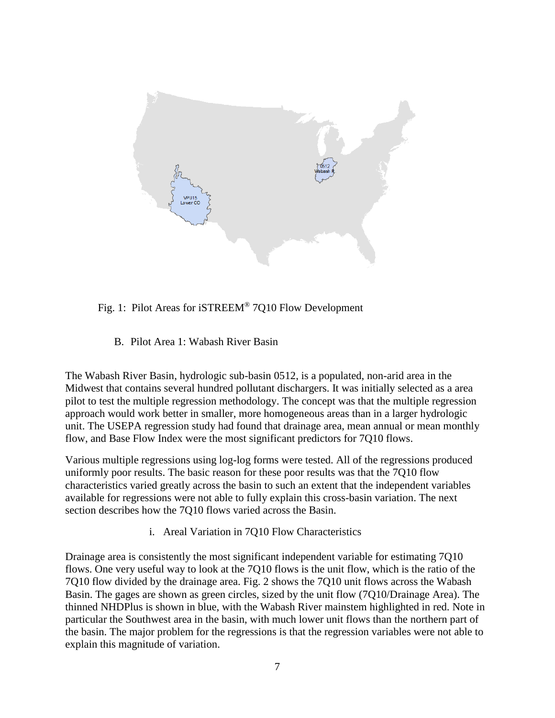

## Fig. 1: Pilot Areas for iSTREEM® 7Q10 Flow Development

B. Pilot Area 1: Wabash River Basin

The Wabash River Basin, hydrologic sub-basin 0512, is a populated, non-arid area in the Midwest that contains several hundred pollutant dischargers. It was initially selected as a area pilot to test the multiple regression methodology. The concept was that the multiple regression approach would work better in smaller, more homogeneous areas than in a larger hydrologic unit. The USEPA regression study had found that drainage area, mean annual or mean monthly flow, and Base Flow Index were the most significant predictors for 7Q10 flows.

Various multiple regressions using log-log forms were tested. All of the regressions produced uniformly poor results. The basic reason for these poor results was that the 7Q10 flow characteristics varied greatly across the basin to such an extent that the independent variables available for regressions were not able to fully explain this cross-basin variation. The next section describes how the 7Q10 flows varied across the Basin.

i. Areal Variation in 7Q10 Flow Characteristics

Drainage area is consistently the most significant independent variable for estimating 7Q10 flows. One very useful way to look at the 7Q10 flows is the unit flow, which is the ratio of the 7Q10 flow divided by the drainage area. Fig. 2 shows the 7Q10 unit flows across the Wabash Basin. The gages are shown as green circles, sized by the unit flow (7Q10/Drainage Area). The thinned NHDPlus is shown in blue, with the Wabash River mainstem highlighted in red. Note in particular the Southwest area in the basin, with much lower unit flows than the northern part of the basin. The major problem for the regressions is that the regression variables were not able to explain this magnitude of variation.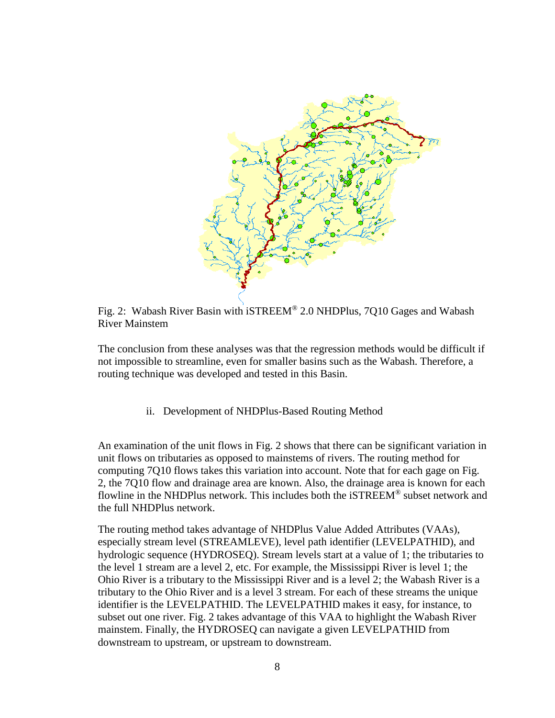

Fig. 2: Wabash River Basin with iSTREEM® 2.0 NHDPlus, 7Q10 Gages and Wabash River Mainstem

The conclusion from these analyses was that the regression methods would be difficult if not impossible to streamline, even for smaller basins such as the Wabash. Therefore, a routing technique was developed and tested in this Basin.

ii. Development of NHDPlus-Based Routing Method

An examination of the unit flows in Fig. 2 shows that there can be significant variation in unit flows on tributaries as opposed to mainstems of rivers. The routing method for computing 7Q10 flows takes this variation into account. Note that for each gage on Fig. 2, the 7Q10 flow and drainage area are known. Also, the drainage area is known for each flowline in the NHDPlus network. This includes both the iSTREEM® subset network and the full NHDPlus network.

The routing method takes advantage of NHDPlus Value Added Attributes (VAAs), especially stream level (STREAMLEVE), level path identifier (LEVELPATHID), and hydrologic sequence (HYDROSEQ). Stream levels start at a value of 1; the tributaries to the level 1 stream are a level 2, etc. For example, the Mississippi River is level 1; the Ohio River is a tributary to the Mississippi River and is a level 2; the Wabash River is a tributary to the Ohio River and is a level 3 stream. For each of these streams the unique identifier is the LEVELPATHID. The LEVELPATHID makes it easy, for instance, to subset out one river. Fig. 2 takes advantage of this VAA to highlight the Wabash River mainstem. Finally, the HYDROSEQ can navigate a given LEVELPATHID from downstream to upstream, or upstream to downstream.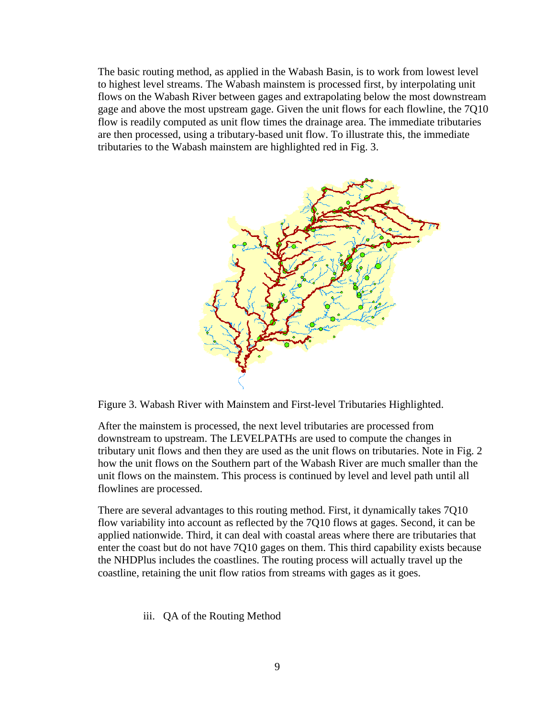The basic routing method, as applied in the Wabash Basin, is to work from lowest level to highest level streams. The Wabash mainstem is processed first, by interpolating unit flows on the Wabash River between gages and extrapolating below the most downstream gage and above the most upstream gage. Given the unit flows for each flowline, the 7Q10 flow is readily computed as unit flow times the drainage area. The immediate tributaries are then processed, using a tributary-based unit flow. To illustrate this, the immediate tributaries to the Wabash mainstem are highlighted red in Fig. 3.



Figure 3. Wabash River with Mainstem and First-level Tributaries Highlighted.

After the mainstem is processed, the next level tributaries are processed from downstream to upstream. The LEVELPATHs are used to compute the changes in tributary unit flows and then they are used as the unit flows on tributaries. Note in Fig. 2 how the unit flows on the Southern part of the Wabash River are much smaller than the unit flows on the mainstem. This process is continued by level and level path until all flowlines are processed.

There are several advantages to this routing method. First, it dynamically takes 7Q10 flow variability into account as reflected by the 7Q10 flows at gages. Second, it can be applied nationwide. Third, it can deal with coastal areas where there are tributaries that enter the coast but do not have 7Q10 gages on them. This third capability exists because the NHDPlus includes the coastlines. The routing process will actually travel up the coastline, retaining the unit flow ratios from streams with gages as it goes.

iii. QA of the Routing Method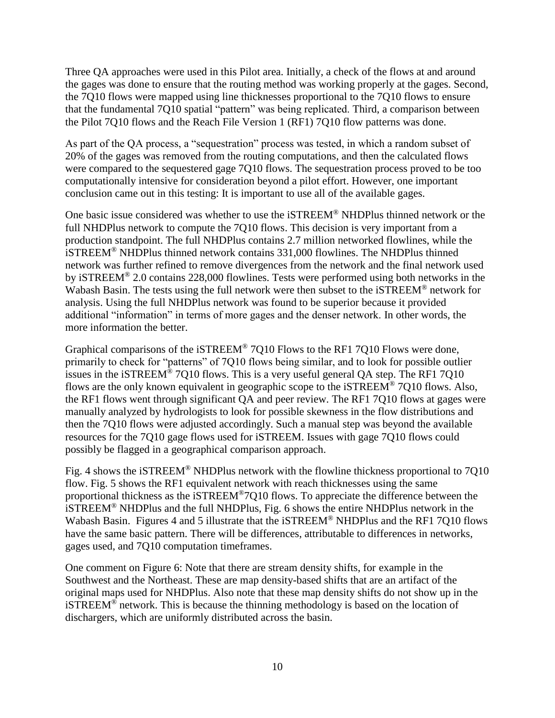Three QA approaches were used in this Pilot area. Initially, a check of the flows at and around the gages was done to ensure that the routing method was working properly at the gages. Second, the 7Q10 flows were mapped using line thicknesses proportional to the 7Q10 flows to ensure that the fundamental 7Q10 spatial "pattern" was being replicated. Third, a comparison between the Pilot 7Q10 flows and the Reach File Version 1 (RF1) 7Q10 flow patterns was done.

As part of the QA process, a "sequestration" process was tested, in which a random subset of 20% of the gages was removed from the routing computations, and then the calculated flows were compared to the sequestered gage 7Q10 flows. The sequestration process proved to be too computationally intensive for consideration beyond a pilot effort. However, one important conclusion came out in this testing: It is important to use all of the available gages.

One basic issue considered was whether to use the iSTREEM® NHDPlus thinned network or the full NHDPlus network to compute the 7Q10 flows. This decision is very important from a production standpoint. The full NHDPlus contains 2.7 million networked flowlines, while the iSTREEM® NHDPlus thinned network contains 331,000 flowlines. The NHDPlus thinned network was further refined to remove divergences from the network and the final network used by iSTREEM® 2.0 contains 228,000 flowlines. Tests were performed using both networks in the Wabash Basin. The tests using the full network were then subset to the iSTREEM® network for analysis. Using the full NHDPlus network was found to be superior because it provided additional "information" in terms of more gages and the denser network. In other words, the more information the better.

Graphical comparisons of the iSTREEM® 7Q10 Flows to the RF1 7Q10 Flows were done, primarily to check for "patterns" of 7Q10 flows being similar, and to look for possible outlier issues in the iSTREEM® 7Q10 flows. This is a very useful general QA step. The RF1 7Q10 flows are the only known equivalent in geographic scope to the iSTREEM® 7Q10 flows. Also, the RF1 flows went through significant QA and peer review. The RF1 7Q10 flows at gages were manually analyzed by hydrologists to look for possible skewness in the flow distributions and then the 7Q10 flows were adjusted accordingly. Such a manual step was beyond the available resources for the 7Q10 gage flows used for iSTREEM. Issues with gage 7Q10 flows could possibly be flagged in a geographical comparison approach.

Fig. 4 shows the iSTREEM® NHDPlus network with the flowline thickness proportional to 7Q10 flow. Fig. 5 shows the RF1 equivalent network with reach thicknesses using the same proportional thickness as the iSTREEM®7Q10 flows. To appreciate the difference between the iSTREEM® NHDPlus and the full NHDPlus, Fig. 6 shows the entire NHDPlus network in the Wabash Basin. Figures 4 and 5 illustrate that the iSTREEM® NHDPlus and the RF1 7010 flows have the same basic pattern. There will be differences, attributable to differences in networks, gages used, and 7Q10 computation timeframes.

One comment on Figure 6: Note that there are stream density shifts, for example in the Southwest and the Northeast. These are map density-based shifts that are an artifact of the original maps used for NHDPlus. Also note that these map density shifts do not show up in the iSTREEM® network. This is because the thinning methodology is based on the location of dischargers, which are uniformly distributed across the basin.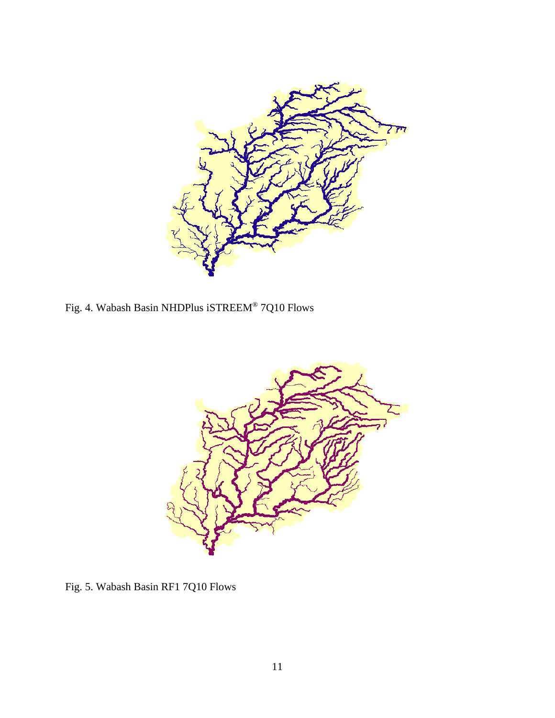

Fig. 4. Wabash Basin NHDPlus iSTREEM® 7Q10 Flows



Fig. 5. Wabash Basin RF1 7Q10 Flows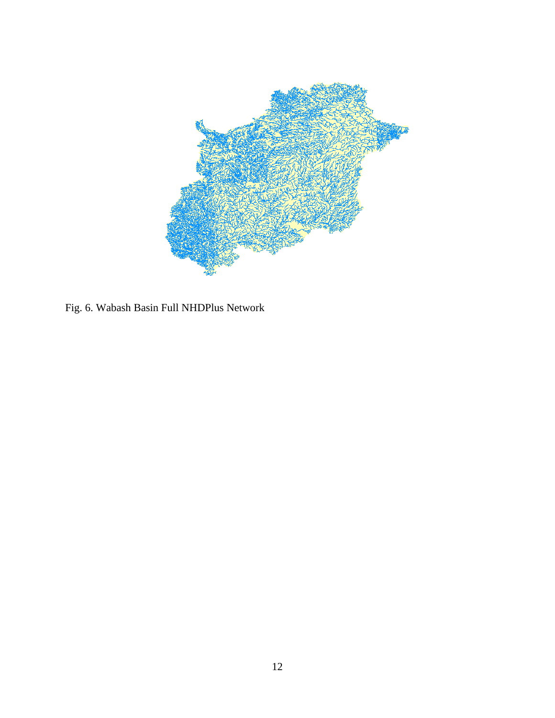

Fig. 6. Wabash Basin Full NHDPlus Network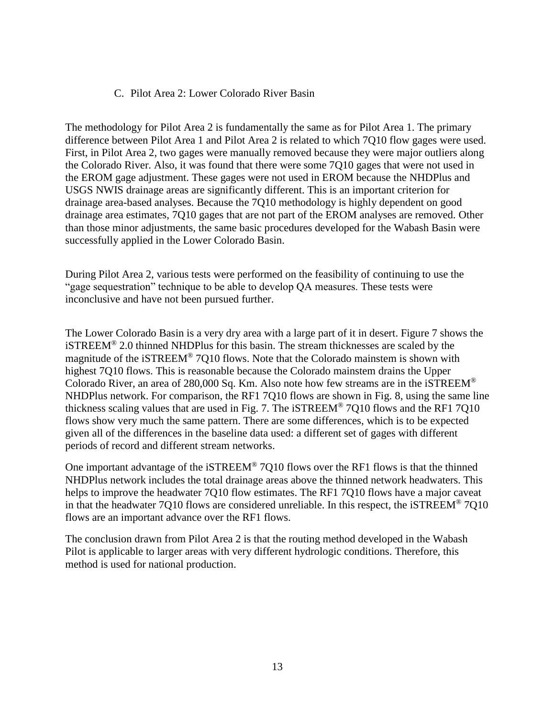### C. Pilot Area 2: Lower Colorado River Basin

The methodology for Pilot Area 2 is fundamentally the same as for Pilot Area 1. The primary difference between Pilot Area 1 and Pilot Area 2 is related to which 7Q10 flow gages were used. First, in Pilot Area 2, two gages were manually removed because they were major outliers along the Colorado River. Also, it was found that there were some 7Q10 gages that were not used in the EROM gage adjustment. These gages were not used in EROM because the NHDPlus and USGS NWIS drainage areas are significantly different. This is an important criterion for drainage area-based analyses. Because the 7Q10 methodology is highly dependent on good drainage area estimates, 7Q10 gages that are not part of the EROM analyses are removed. Other than those minor adjustments, the same basic procedures developed for the Wabash Basin were successfully applied in the Lower Colorado Basin.

During Pilot Area 2, various tests were performed on the feasibility of continuing to use the "gage sequestration" technique to be able to develop QA measures. These tests were inconclusive and have not been pursued further.

The Lower Colorado Basin is a very dry area with a large part of it in desert. Figure 7 shows the iSTREEM® 2.0 thinned NHDPlus for this basin. The stream thicknesses are scaled by the magnitude of the iSTREEM® 7Q10 flows. Note that the Colorado mainstem is shown with highest 7Q10 flows. This is reasonable because the Colorado mainstem drains the Upper Colorado River, an area of 280,000 Sq. Km. Also note how few streams are in the iSTREEM<sup>®</sup> NHDPlus network. For comparison, the RF1 7Q10 flows are shown in Fig. 8, using the same line thickness scaling values that are used in Fig. 7. The iSTREEM® 7Q10 flows and the RF1 7Q10 flows show very much the same pattern. There are some differences, which is to be expected given all of the differences in the baseline data used: a different set of gages with different periods of record and different stream networks.

One important advantage of the iSTREEM® 7Q10 flows over the RF1 flows is that the thinned NHDPlus network includes the total drainage areas above the thinned network headwaters. This helps to improve the headwater 7Q10 flow estimates. The RF1 7Q10 flows have a major caveat in that the headwater 7Q10 flows are considered unreliable. In this respect, the iSTREEM® 7Q10 flows are an important advance over the RF1 flows.

The conclusion drawn from Pilot Area 2 is that the routing method developed in the Wabash Pilot is applicable to larger areas with very different hydrologic conditions. Therefore, this method is used for national production.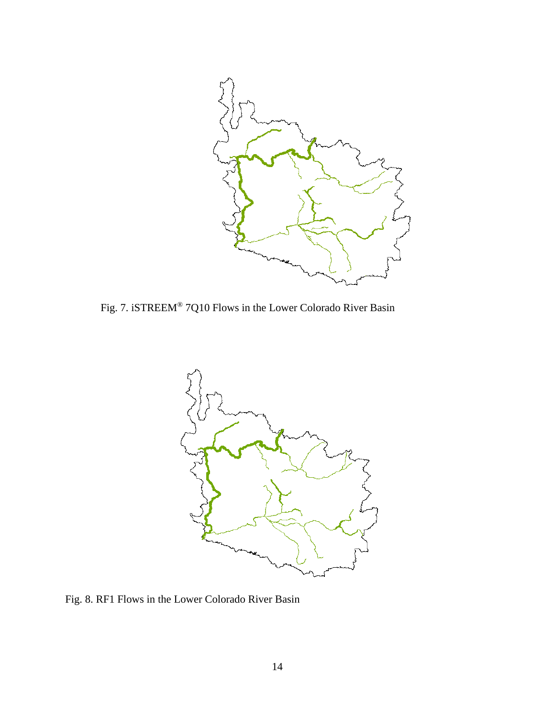

Fig. 7. iSTREEM® 7Q10 Flows in the Lower Colorado River Basin



Fig. 8. RF1 Flows in the Lower Colorado River Basin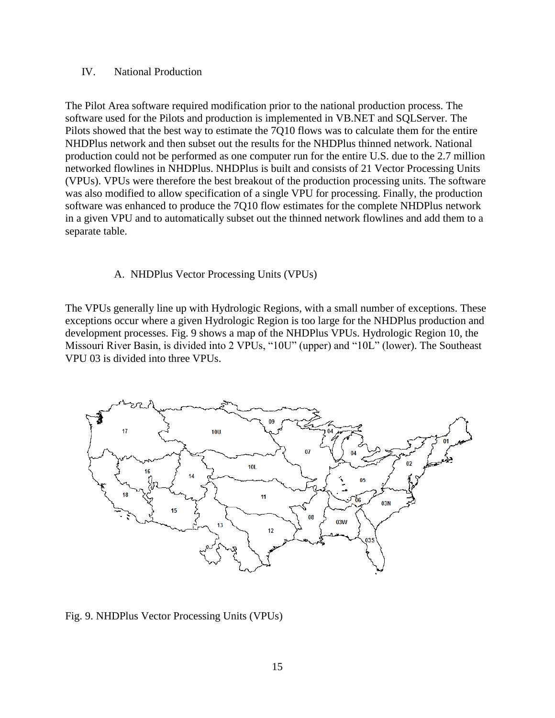#### IV. National Production

The Pilot Area software required modification prior to the national production process. The software used for the Pilots and production is implemented in VB.NET and SQLServer. The Pilots showed that the best way to estimate the 7Q10 flows was to calculate them for the entire NHDPlus network and then subset out the results for the NHDPlus thinned network. National production could not be performed as one computer run for the entire U.S. due to the 2.7 million networked flowlines in NHDPlus. NHDPlus is built and consists of 21 Vector Processing Units (VPUs). VPUs were therefore the best breakout of the production processing units. The software was also modified to allow specification of a single VPU for processing. Finally, the production software was enhanced to produce the 7Q10 flow estimates for the complete NHDPlus network in a given VPU and to automatically subset out the thinned network flowlines and add them to a separate table.

#### A. NHDPlus Vector Processing Units (VPUs)

The VPUs generally line up with Hydrologic Regions, with a small number of exceptions. These exceptions occur where a given Hydrologic Region is too large for the NHDPlus production and development processes. Fig. 9 shows a map of the NHDPlus VPUs. Hydrologic Region 10, the Missouri River Basin, is divided into 2 VPUs, "10U" (upper) and "10L" (lower). The Southeast VPU 03 is divided into three VPUs.



Fig. 9. NHDPlus Vector Processing Units (VPUs)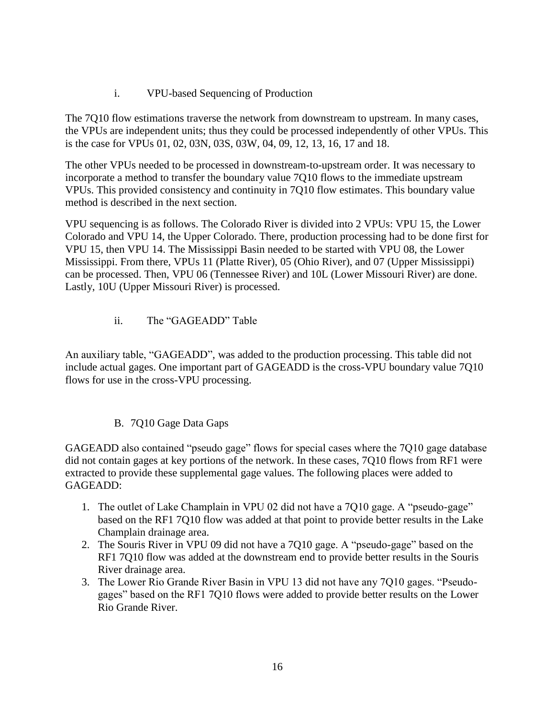i. VPU-based Sequencing of Production

The 7Q10 flow estimations traverse the network from downstream to upstream. In many cases, the VPUs are independent units; thus they could be processed independently of other VPUs. This is the case for VPUs 01, 02, 03N, 03S, 03W, 04, 09, 12, 13, 16, 17 and 18.

The other VPUs needed to be processed in downstream-to-upstream order. It was necessary to incorporate a method to transfer the boundary value 7Q10 flows to the immediate upstream VPUs. This provided consistency and continuity in 7Q10 flow estimates. This boundary value method is described in the next section.

VPU sequencing is as follows. The Colorado River is divided into 2 VPUs: VPU 15, the Lower Colorado and VPU 14, the Upper Colorado. There, production processing had to be done first for VPU 15, then VPU 14. The Mississippi Basin needed to be started with VPU 08, the Lower Mississippi. From there, VPUs 11 (Platte River), 05 (Ohio River), and 07 (Upper Mississippi) can be processed. Then, VPU 06 (Tennessee River) and 10L (Lower Missouri River) are done. Lastly, 10U (Upper Missouri River) is processed.

ii. The "GAGEADD" Table

An auxiliary table, "GAGEADD", was added to the production processing. This table did not include actual gages. One important part of GAGEADD is the cross-VPU boundary value 7Q10 flows for use in the cross-VPU processing.

# B. 7Q10 Gage Data Gaps

GAGEADD also contained "pseudo gage" flows for special cases where the 7Q10 gage database did not contain gages at key portions of the network. In these cases, 7Q10 flows from RF1 were extracted to provide these supplemental gage values. The following places were added to GAGEADD:

- 1. The outlet of Lake Champlain in VPU 02 did not have a 7Q10 gage. A "pseudo-gage" based on the RF1 7Q10 flow was added at that point to provide better results in the Lake Champlain drainage area.
- 2. The Souris River in VPU 09 did not have a 7Q10 gage. A "pseudo-gage" based on the RF1 7Q10 flow was added at the downstream end to provide better results in the Souris River drainage area.
- 3. The Lower Rio Grande River Basin in VPU 13 did not have any 7Q10 gages. "Pseudogages" based on the RF1 7Q10 flows were added to provide better results on the Lower Rio Grande River.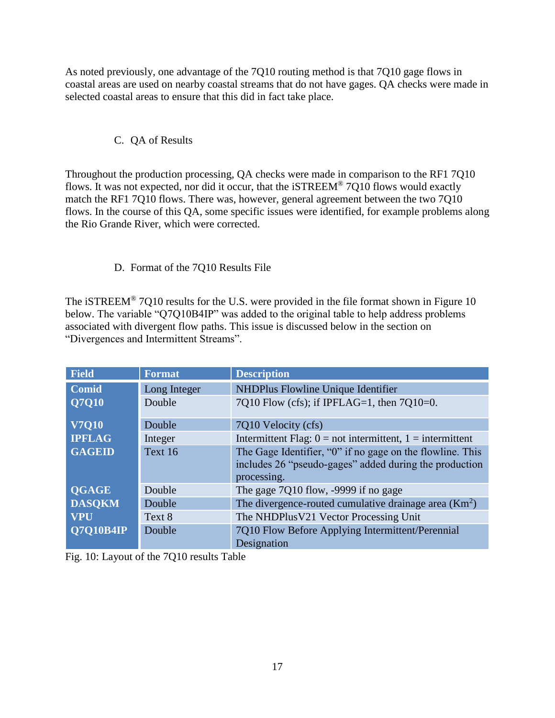As noted previously, one advantage of the 7Q10 routing method is that 7Q10 gage flows in coastal areas are used on nearby coastal streams that do not have gages. QA checks were made in selected coastal areas to ensure that this did in fact take place.

# C. QA of Results

Throughout the production processing, QA checks were made in comparison to the RF1 7Q10 flows. It was not expected, nor did it occur, that the iSTREEM® 7Q10 flows would exactly match the RF1 7Q10 flows. There was, however, general agreement between the two 7Q10 flows. In the course of this QA, some specific issues were identified, for example problems along the Rio Grande River, which were corrected.

# D. Format of the 7Q10 Results File

The iSTREEM<sup>®</sup> 7Q10 results for the U.S. were provided in the file format shown in Figure 10 below. The variable "Q7Q10B4IP" was added to the original table to help address problems associated with divergent flow paths. This issue is discussed below in the section on "Divergences and Intermittent Streams".

| <b>Field</b>     | <b>Format</b> | <b>Description</b>                                                                                                                 |
|------------------|---------------|------------------------------------------------------------------------------------------------------------------------------------|
| Comid            | Long Integer  | NHDPlus Flowline Unique Identifier                                                                                                 |
| Q7Q10            | Double        | 7Q10 Flow (cfs); if IPFLAG=1, then $7Q10=0$ .                                                                                      |
| <b>V7Q10</b>     | Double        | 7Q10 Velocity (cfs)                                                                                                                |
| <b>IPFLAG</b>    | Integer       | Intermittent Flag: $0 = not$ intermittent, $1 =$ intermittent                                                                      |
| <b>GAGEID</b>    | Text 16       | The Gage Identifier, "0" if no gage on the flowline. This<br>includes 26 "pseudo-gages" added during the production<br>processing. |
| <b>QGAGE</b>     | Double        | The gage 7Q10 flow, -9999 if no gage                                                                                               |
| <b>DASQKM</b>    | Double        | The divergence-routed cumulative drainage area $(Km2)$                                                                             |
| <b>VPU</b>       | Text 8        | The NHDPlusV21 Vector Processing Unit                                                                                              |
| <b>O7O10B4IP</b> | Double        | 7Q10 Flow Before Applying Intermittent/Perennial<br>Designation                                                                    |

Fig. 10: Layout of the 7Q10 results Table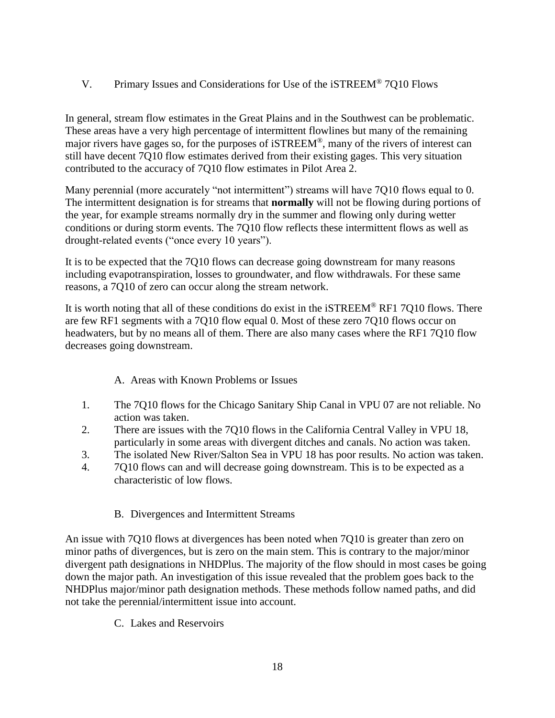V. Primary Issues and Considerations for Use of the iSTREEM® 7Q10 Flows

In general, stream flow estimates in the Great Plains and in the Southwest can be problematic. These areas have a very high percentage of intermittent flowlines but many of the remaining major rivers have gages so, for the purposes of iSTREEM®, many of the rivers of interest can still have decent 7Q10 flow estimates derived from their existing gages. This very situation contributed to the accuracy of 7Q10 flow estimates in Pilot Area 2.

Many perennial (more accurately "not intermittent") streams will have 7010 flows equal to 0. The intermittent designation is for streams that **normally** will not be flowing during portions of the year, for example streams normally dry in the summer and flowing only during wetter conditions or during storm events. The 7Q10 flow reflects these intermittent flows as well as drought-related events ("once every 10 years").

It is to be expected that the 7Q10 flows can decrease going downstream for many reasons including evapotranspiration, losses to groundwater, and flow withdrawals. For these same reasons, a 7Q10 of zero can occur along the stream network.

It is worth noting that all of these conditions do exist in the iSTREEM® RF1 7Q10 flows. There are few RF1 segments with a 7Q10 flow equal 0. Most of these zero 7Q10 flows occur on headwaters, but by no means all of them. There are also many cases where the RF1 7Q10 flow decreases going downstream.

## A. Areas with Known Problems or Issues

- 1. The 7Q10 flows for the Chicago Sanitary Ship Canal in VPU 07 are not reliable. No action was taken.
- 2. There are issues with the 7Q10 flows in the California Central Valley in VPU 18, particularly in some areas with divergent ditches and canals. No action was taken.
- 3. The isolated New River/Salton Sea in VPU 18 has poor results. No action was taken.
- 4. 7Q10 flows can and will decrease going downstream. This is to be expected as a characteristic of low flows.

## B. Divergences and Intermittent Streams

An issue with 7Q10 flows at divergences has been noted when 7Q10 is greater than zero on minor paths of divergences, but is zero on the main stem. This is contrary to the major/minor divergent path designations in NHDPlus. The majority of the flow should in most cases be going down the major path. An investigation of this issue revealed that the problem goes back to the NHDPlus major/minor path designation methods. These methods follow named paths, and did not take the perennial/intermittent issue into account.

C. Lakes and Reservoirs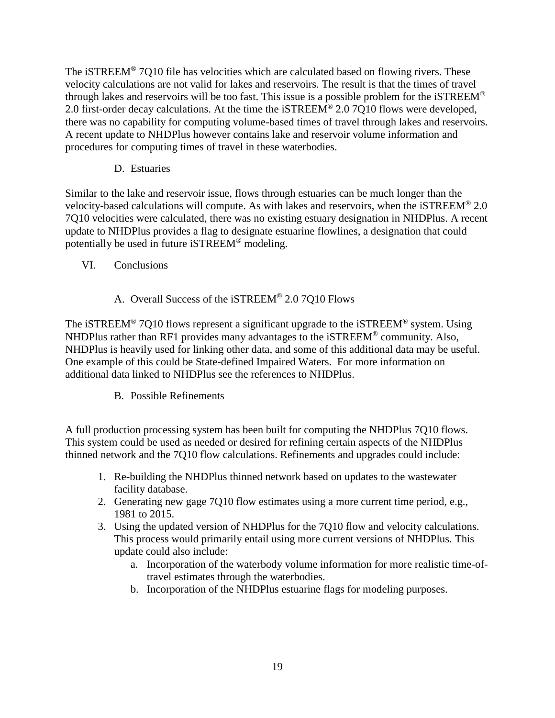The iSTREEM® 7Q10 file has velocities which are calculated based on flowing rivers. These velocity calculations are not valid for lakes and reservoirs. The result is that the times of travel through lakes and reservoirs will be too fast. This issue is a possible problem for the iSTREEM® 2.0 first-order decay calculations. At the time the iSTREEM® 2.0 7Q10 flows were developed, there was no capability for computing volume-based times of travel through lakes and reservoirs. A recent update to NHDPlus however contains lake and reservoir volume information and procedures for computing times of travel in these waterbodies.

D. Estuaries

Similar to the lake and reservoir issue, flows through estuaries can be much longer than the velocity-based calculations will compute. As with lakes and reservoirs, when the iSTREEM® 2.0 7Q10 velocities were calculated, there was no existing estuary designation in NHDPlus. A recent update to NHDPlus provides a flag to designate estuarine flowlines, a designation that could potentially be used in future iSTREEM® modeling.

- VI. Conclusions
	- A. Overall Success of the iSTREEM® 2.0 7Q10 Flows

The iSTREEM<sup>®</sup> 7Q10 flows represent a significant upgrade to the iSTREEM<sup>®</sup> system. Using NHDPlus rather than RF1 provides many advantages to the iSTREEM® community. Also, NHDPlus is heavily used for linking other data, and some of this additional data may be useful. One example of this could be State-defined Impaired Waters. For more information on additional data linked to NHDPlus see the references to NHDPlus.

B. Possible Refinements

A full production processing system has been built for computing the NHDPlus 7Q10 flows. This system could be used as needed or desired for refining certain aspects of the NHDPlus thinned network and the 7Q10 flow calculations. Refinements and upgrades could include:

- 1. Re-building the NHDPlus thinned network based on updates to the wastewater facility database.
- 2. Generating new gage 7Q10 flow estimates using a more current time period, e.g., 1981 to 2015.
- 3. Using the updated version of NHDPlus for the 7Q10 flow and velocity calculations. This process would primarily entail using more current versions of NHDPlus. This update could also include:
	- a. Incorporation of the waterbody volume information for more realistic time-oftravel estimates through the waterbodies.
	- b. Incorporation of the NHDPlus estuarine flags for modeling purposes.